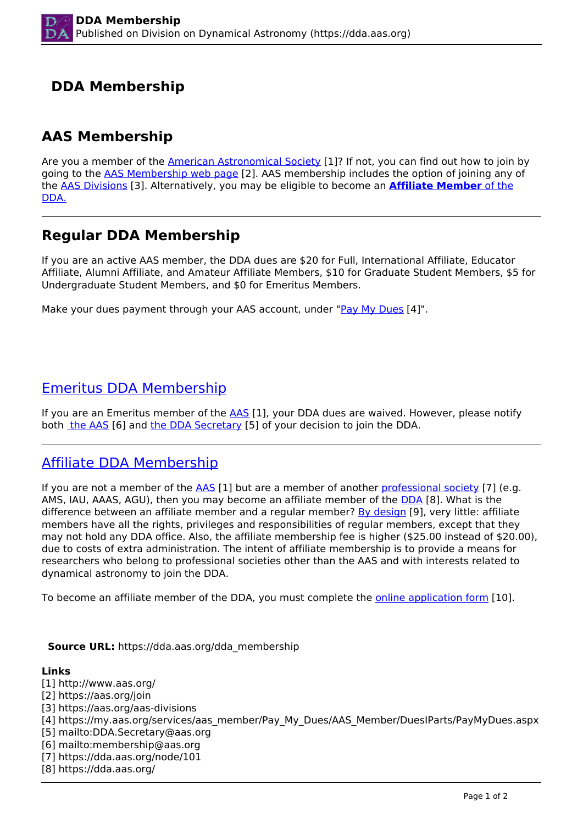# **DDA Membership**

## **AAS Membership**

Are you a member of the [American Astronomical Society](http://www.aas.org/) [1]? If not, you can find out how to join by going to the AAS Membership web page [2]. AAS membership includes the option of joining any of the AAS Divisions [3]. Alternatively, you may be eligible to become an **Affiliate Member** of the DDA.

## **Regular DDA Membership**

If you are an active AAS member, the DDA dues are \$20 for Full, International Affiliate, Educator Affiliate, Alumni Affiliate, and Amateur Affiliate Members, \$10 for Graduate Student Members, \$5 for Undergraduate Student Members, and \$0 for Emeritus Members.

Make your dues payment through your AAS account, under "Pay My Dues [4]".

### Emeritus DDA Membership

If you are an Emeritus member of the  $\overline{\text{AAS}}$  [1], your DDA dues are waived. However, please notify both the AAS [6] and the DDA Secretary [5] of your decision to join the DDA.

## Affiliate DDA Membership

If you are not a member of the AAS [1] but are a member of another professional society [7] (e.g. AMS, IAU, AAAS, AGU), then you may become an affiliate member of the DDA [8]. What is the difference between an affiliate member and a regular member? By design [9], very little: affiliate members have all the rights, privileges and responsibilities of regular members, except that they may not hold any DDA office. Also, the affiliate membership fee is higher (\$25.00 instead of \$20.00), due to costs of extra administration. The intent of affiliate membership is to provide a means for researchers who belong to professional societies other than the AAS and with interests related to dynamical astronomy to join the DDA.

To become an affiliate member of the DDA, you must complete the *online application form* [10].

#### **Source URL:** https://dda.aas.org/dda\_membership

#### **Links**

[1] http://www.aas.org/ [2] https://aas.org/join [3] https://aas.org/aas-divisions [4] https://my.aas.org/services/aas\_member/Pay\_My\_Dues/AAS\_Member/DuesIParts/PayMyDues.aspx [5] mailto:DDA.Secretary@aas.org [6] mailto:membership@aas.org [7] https://dda.aas.org/node/101 [8] https://dda.aas.org/